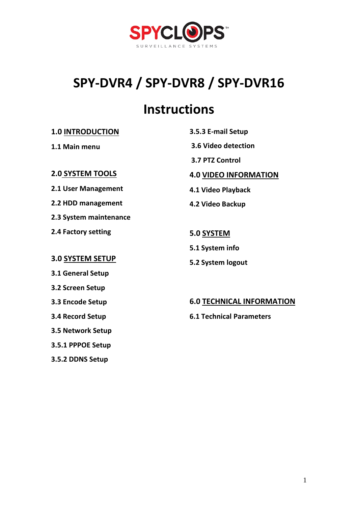

# **SPY-DVR4 / SPY-DVR8 / SPY-DVR16**

# **Instructions**

## **1.0 INTRODUCTION**

## **1.1 Main menu**

## **2.0 SYSTEM TOOLS**

**2.1 User Management**

**2.2 HDD management**

**2.3 System maintenance** 

**2.4 Factory setting**

## **3.0 SYSTEM SETUP**

**3.1 General Setup**

**3.2 Screen Setup** 

**3.3 Encode Setup**

**3.4 Record Setup**

**3.5 Network Setup**

**3.5.1 PPPOE Setup**

**3.5.2 DDNS Setup**

**3.6 Video detection 3.7 PTZ Control 4.0 VIDEO INFORMATION 4.1 Video Playback 4.2 Video Backup 5.0 SYSTEM 5.1 System info**

**5.2 System logout**

**3.5.3 E-mail Setup**

## **6.0 TECHNICAL INFORMATION**

**6.1 Technical Parameters**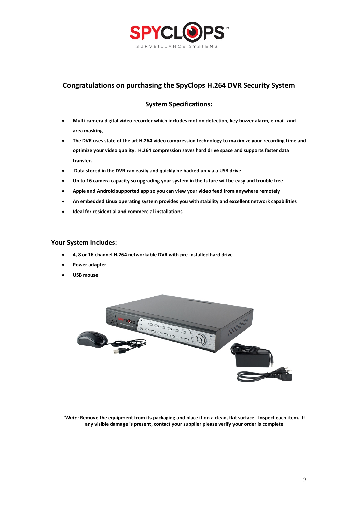

## **Congratulations on purchasing the SpyClops H.264 DVR Security System**

## **System Specifications:**

- **Multi-camera digital video recorder which includes motion detection, key buzzer alarm, e-mail and area masking**
- **The DVR uses state of the art H.264 video compression technology to maximize your recording time and optimize your video quality. H.264 compression saves hard drive space and supports faster data transfer.**
- **Data stored in the DVR can easily and quickly be backed up via a USB drive**
- **Up to 16 camera capacity so upgrading your system in the future will be easy and trouble free**
- **Apple and Android supported app so you can view your video feed from anywhere remotely**
- **An embedded Linux operating system provides you with stability and excellent network capabilities**
- **Ideal for residential and commercial installations**

#### **Your System Includes:**

- **4, 8 or 16 channel H.264 networkable DVR with pre-installed hard drive**
- **Power adapter**
- **USB mouse**



*\*Note:* **Remove the equipment from its packaging and place it on a clean, flat surface. Inspect each item. If any visible damage is present, contact your supplier please verify your order is complete**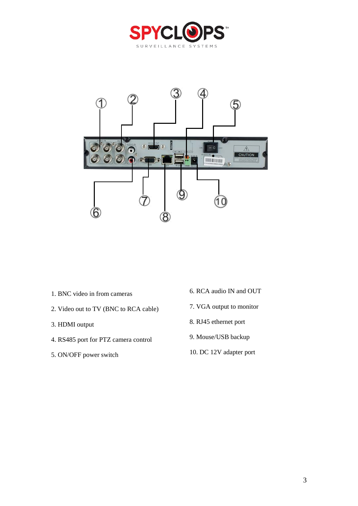



- 1. BNC video in from cameras
- 2. Video out to TV (BNC to RCA cable)
- 3. HDMI output
- 4. RS485 port for PTZ camera control
- 5. ON/OFF power switch
- 6. RCA audio IN and OUT
- 7. VGA output to monitor
- 8. RJ45 ethernet port
- 9. Mouse/USB backup
- 10. DC 12V adapter port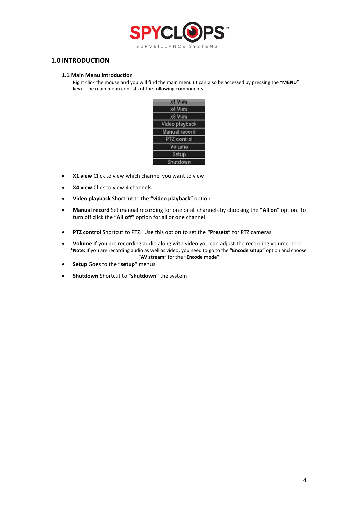

## **1.0 INTRODUCTION**

#### **1.1 Main Menu Introduction**

Right click the mouse and you will find the main menu (it can also be accessed by pressing the "**MENU**" key). The main menu consists of the following components:



- **X1 view** Click to view which channel you want to view
- **X4 view** Click to view 4 channels
- **Video playback** Shortcut to the **"video playback"** option
- **Manual record** Set manual recording for one or all channels by choosing the **"All on"** option. To turn off click the **"All off"** option for all or one channel
- **PTZ control** Shortcut to PTZ. Use this option to set the **"Presets"** for PTZ cameras
- **Volume** If you are recording audio along with video you can adjust the recording volume here  **\*Note:** If you are recording audio as well as video, you need to go to the **"Encode setup"** option and choose **"AV stream"** for the **"Encode mode"**
- **Setup** Goes to the **"setup"** menus
- **Shutdown** Shortcut to "**shutdown"** the system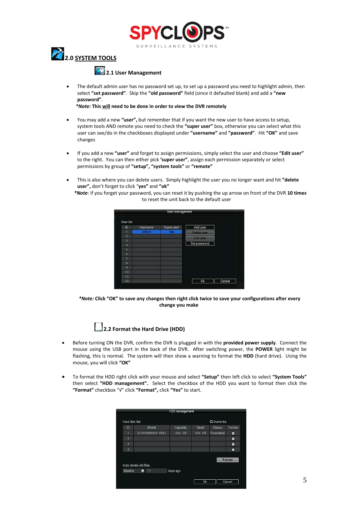



## **2.1 User Management**

The default admin user has no password set up, to set up a password you need to highlight admin, then select **"set password"**. Skip the **"old password"** field (since it defaulted blank) and add a **"new password"**.

 *\*Note:* **This will need to be done in order to view the DVR remotely**

- You may add a new **"user",** but remember that if you want the new user to have access to setup, system tools AND remote you need to check the **"super user"** box, otherwise you can select what this user can see/do in the checkboxes displayed under **"username"** and **"password"**. Hit **"OK"** and save changes
- If you add a new **"user"** and forget to assign permissions, simply select the user and choose **"Edit user"** to the right. You can then either pick **'super user"**, assign each permission separately or select permissions by group of **"setup", "system tools"** or **"remote"**
- This is also where you can delete users. Simply highlight the user you no longer want and hit **"delete user",** don't forget to click "**yes"** and **"ok"**
	- *\*Note*: if you forget your password, you can reset it by pushing the up arrow on front of the DVR **10 times** to reset the unit back to the default user



*\*Note:* **Click "OK" to save any changes then right click twice to save your configurations after every change you make**



- Before turning ON the DVR, confirm the DVR is plugged in with the **provided power supply**. Connect the mouse using the USB port in the back of the DVR. After switching power, the **POWER** light might be flashing, this is normal. The system will then show a warning to format the **HDD** (hard drive). Using the mouse, you will click **"OK"**
- To format the HDD right click with your mouse and select **"Setup"** then left click to select **"System Tools"**  then select **"HDD management".** Select the checkbox of the HDD you want to format then click the **"Format"** checkbox "√" click **"Format",** click **"Yes"** to start.

| HDD management |                       |          |             |                     |        |  |  |
|----------------|-----------------------|----------|-------------|---------------------|--------|--|--|
| Hard disk list |                       |          |             | <b>Zi</b> Overwrite |        |  |  |
| ID             | Model                 | Capacity | <b>Used</b> | <b>Status</b>       | Format |  |  |
| 1              | ST1000DM003-9YN1      | 926 GB   | 926 GB      | Formatted           | О      |  |  |
| $\overline{2}$ |                       |          |             |                     | o      |  |  |
| $\overline{3}$ |                       |          |             |                     | П      |  |  |
| $\frac{1}{4}$  |                       |          |             |                     | o      |  |  |
|                | Auto delete old files |          |             |                     | Format |  |  |
| Disable        | 30<br>Θ               | days ago |             |                     |        |  |  |
|                |                       |          | 0k          |                     | Cancel |  |  |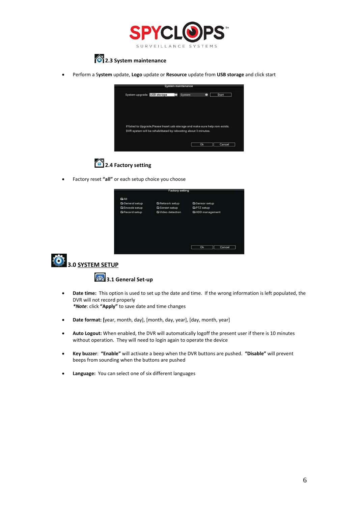



• Perform a S**ystem** update, **Logo** update or **Resource** update from **USB storage** and click start

| System upgrade USB storage                                                     | System | о | <b>Start</b> |
|--------------------------------------------------------------------------------|--------|---|--------------|
|                                                                                |        |   |              |
|                                                                                |        |   |              |
|                                                                                |        |   |              |
| If failed to Upgrade, Please Insert usb storage and make sure help.rom exists. |        |   |              |
| DVR system will be rehabilitated by rebooting about 3 minutes.                 |        |   |              |



• Factory reset **"all"** or each setup choice you choose

|                        | <b>Factory setting</b>    |                       |
|------------------------|---------------------------|-----------------------|
| CAIL                   |                           |                       |
| General setup          | <b>D</b> Network setup    | <b>CaSensor setup</b> |
| <b>CiEncode setup</b>  | <b>El Screen setup</b>    | <b>CAPTZ</b> setup    |
| <b>Ci</b> Record setup | <b>Di</b> Video detection | CHDD management       |
|                        |                           |                       |
|                        |                           |                       |
|                        |                           | Cancel<br>Ok          |
|                        |                           |                       |



**3.0 SYSTEM SETUP** 

## **3.1 General Set-up**

- **Date time:** This option is used to set up the date and time. If the wrong information is left populated, the DVR will not record properly  *\*Note*: click **"Apply"** to save date and time changes
- **Date format: [**year, month, day], [month, day, year], [day, month, year]
- **Auto Logout:** When enabled, the DVR will automatically logoff the present user if there is 10 minutes without operation. They will need to login again to operate the device
- **Key buzzer**: **"Enable"** will activate a beep when the DVR buttons are pushed. **"Disable"** will prevent beeps from sounding when the buttons are pushed
- **Language:** You can select one of six different languages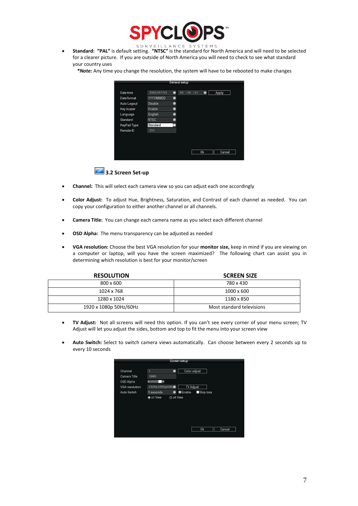

• **Standard: "PAL"** is default setting. **"NTSC"** is the standard for North America and will need to be selected for a clearer picture. If you are outside of North America you will need to check to see what standard your country uses

*\*Note:* Any time you change the resolution, the system will have to be rebooted to make changes

|             |                   |   | General setup |    |        |
|-------------|-------------------|---|---------------|----|--------|
| Date time   | 2003/07/01        | ۰ | 03:58:21      | ۰  | Apply  |
| Date format | <b>YYYYIMMIDD</b> | ٠ |               |    |        |
| Auto Logout | Disable           | ை |               |    |        |
| Key buzzer  | Enable            | 5 |               |    |        |
| Language    | English           | Θ |               |    |        |
| Standard    | <b>NTSC</b>       | ø |               |    |        |
| KeyPad Type | Standard          |   |               |    |        |
| Remote ID   | 255               |   |               |    |        |
|             |                   |   |               |    |        |
|             |                   |   |               |    |        |
|             |                   |   |               |    |        |
|             |                   |   |               | 0k | Cancel |



- **Channel:** This will select each camera view so you can adjust each one accordingly
- **Color Adjust:** To adjust Hue, Brightness, Saturation, and Contrast of each channel as needed. You can copy your configuration to either another channel or all channels.
- **Camera Title:** You can change each camera name as you select each different channel
- **OSD Alpha:** The menu transparency can be adjusted as needed
- **VGA resolution:** Choose the best VGA resolution for your **monitor size,** keep in mind if you are viewing on a computer or laptop, will you have the screen maximized? The following chart can assist you in determining which resolution is best for your monitor/screen

| <b>RESOLUTION</b>      | <b>SCREEN SIZE</b>        |
|------------------------|---------------------------|
| 800 x 600              | 780 x 430                 |
| 1024 x 768             | $1000 \times 600$         |
| 1280 x 1024            | 1180 x 850                |
| 1920 x 1080p 50Hz/60Hz | Most standard televisions |

- **TV Adjust:** Not all screens will need this option. If you can't see every corner of your menu screen; TV Adjust will let you adjust the sides, bottom and top to fit the menu into your screen view
- **Auto Switch:** Select to switch camera views automatically. Can choose between every 2 seconds up to every 10 seconds

|                                      |                             |           | Screen setup               |           |        |  |
|--------------------------------------|-----------------------------|-----------|----------------------------|-----------|--------|--|
| Channel<br>Camera Title<br>OSD Alpha | 1<br>CAM1<br>о<br>۵         | ۰         | Color adjust               |           |        |  |
| VGA resolution<br>Auto Seitch        | 1920x1080p60Hz<br>5 seconds | ٠         | <b>TV Adjust</b><br>Enable | Skip loss |        |  |
|                                      | *x1 View                    | O x4 View |                            |           |        |  |
|                                      |                             |           |                            |           |        |  |
|                                      |                             |           |                            | <b>Ok</b> | Cancel |  |
|                                      |                             |           |                            |           |        |  |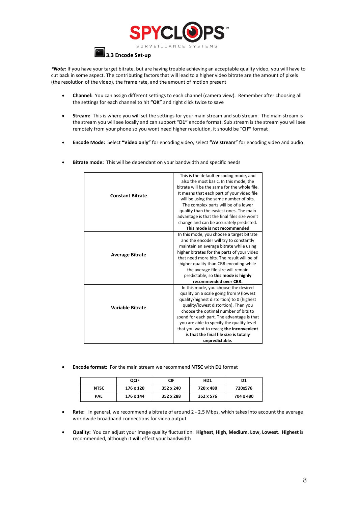



*\*Note:* If you have your target bitrate, but are having trouble achieving an acceptable quality video, you will have to cut back in some aspect. The contributing factors that will lead to a higher video bitrate are the amount of pixels (the resolution of the video), the frame rate, and the amount of motion present

- **Channel:** You can assign different settings to each channel (camera view). Remember after choosing all the settings for each channel to hit **"OK"** and right click twice to save
- **Stream:** This is where you will set the settings for your main stream and sub stream. The main stream is the stream you will see locally and can support "**D1"** encode format. Sub stream is the stream you will see remotely from your phone so you wont need higher resolution, it should be "**CIF"** format
- **Encode Mode:** Select **"Video only"** for encoding video, select **"AV stream"** for encoding video and audio
	- **Constant Bitrate** This is the default encoding mode, and also the most basic. In this mode, the bitrate will be the same for the whole file. It means that each part of your video file will be using the same number of bits. The complex parts will be of a lower quality than the easiest ones. The main advantage is that the final files size won't change and can be accurately predicted. **This mode is not recommended Average Bitrate** In this mode, you choose a target bitrate and the encoder will try to constantly maintain an average bitrate while using higher bitrates for the parts of your video that need more bits. The result will be of higher quality than CBR encoding while the average file size will remain predictable, so **this mode is highly recommended over CBR. Variable Bitrate** In this mode, you choose the desired quality on a scale going from 9 (lowest quality/highest distortion) to 0 (highest quality/lowest distortion). Then you choose the optimal number of bits to spend for each part. The advantage is that you are able to specify the quality level that you want to reach; **the inconvenient is that the final file size is totally unpredictable.**
- **Bitrate mode:** This will be dependant on your bandwidth and specific needs

• **Encode format:** For the main stream we recommend **NTSC** with **D1** format

|             | <b>QCIF</b> | CIF       | HD <sub>1</sub> | D1        |
|-------------|-------------|-----------|-----------------|-----------|
| <b>NTSC</b> | 176 x 120   | 352 x 240 | 720 x 480       | 720x576   |
| <b>PAL</b>  | 176 x 144   | 352 x 288 | 352 x 576       | 704 x 480 |

- **Rate:** In general, we recommend a bitrate of around 2 2.5 Mbps, which takes into account the average worldwide broadband connections for video output
- **Quality:** You can adjust your image quality fluctuation. **Highest**, **High**, **Medium**, **Low**, **Lowest**. **Highest** is recommended, although it **will** effect your bandwidth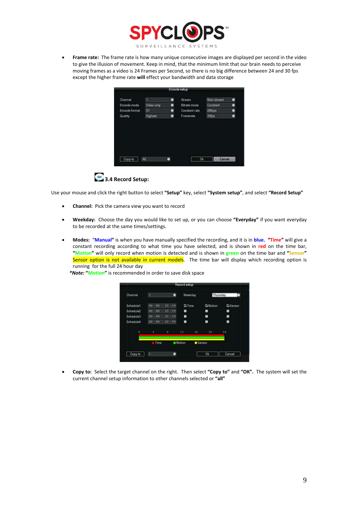

• **Frame rate:** The frame rate is how many unique consecutive images are displayed per second in the video to give the illusion of movement. Keep in mind, that the minimum limit that our brain needs to perceive moving frames as a video is 24 Frames per Second, so there is no big difference between 24 and 30 fps except the higher frame rate **will** effect your bandwidth and data storage

| Channel        | п          | $\bullet$ | Stream        | Main stream | Θ |
|----------------|------------|-----------|---------------|-------------|---|
| Encode mode    | Video only | Θ         | Bitrate mode  | Constant    | ۵ |
| Encode format  | D1         | ۰         | Constant rate | 2Mbps       | ۰ |
| <b>Quality</b> | Highest    | $\bullet$ | Framerate     | 30fps       | ۰ |
|                |            |           |               |             |   |
|                |            |           |               |             |   |



Use your mouse and click the right button to select **"Setup"** key, select **"System setup"**, and select **"Record Setup"**

- **Channel:** Pick the camera view you want to record
- **Weekday:** Choose the day you would like to set up, or you can choose **"Everyday"** if you want everyday to be recorded at the same times/settings.
- **Modes:** "**Manual"** is when you have manually specified the recording, and it is in **blue. "Time"** will give a constant recording according to what time you have selected, and is shown in **red** on the time bar, **"Motion"** will only record when motion is detected and is shown in **green** on the time bar and **"Sensor"** Sensor option is not available in current models. The time bar will display which recording option is running for the full 24 hour day

 *\*Note:* **"Motion"** is recommended in order to save disk space

| Channel         | ı                        | $\bullet$   | Weekday       |        | Thursday         |                  |
|-----------------|--------------------------|-------------|---------------|--------|------------------|------------------|
| Schedule1       | 00 <sub>1</sub><br>$-00$ | 23:59       | <b>E</b> Time |        | <b>Ei</b> Motion | <b>Ei</b> Sensor |
| Schedule2       | 0O<br>: 00               | $-59$<br>23 | ■             |        | π                | π                |
| Schedule3       | 0Ō<br>: 00               | :59<br>23   | ■             |        | п                | π                |
| Schedule4       | 00:00                    | 23:59       | ■             |        | ■                | ٠                |
| $\ddot{\rm{o}}$ | 4                        | B.          | 12            | 16     | 20               | 24               |
|                 | Time                     |             | Motion        | Sensor |                  |                  |
| Copy to         | ī                        | ۵           |               |        | Ok               | Cancel           |

• **Copy to:** Select the target channel on the right. Then select **"Copy to"** and **"OK".** The system will set the current channel setup information to other channels selected or **"all"**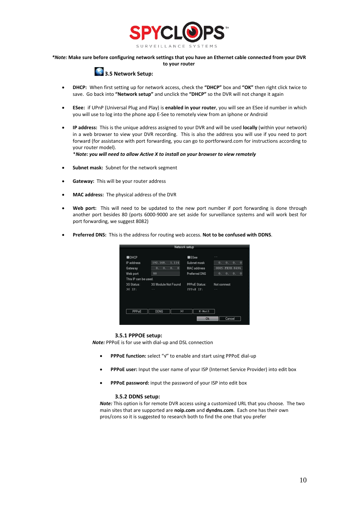

#### *\*Note:* **Make sure before configuring network settings that you have an Ethernet cable connected from your DVR to your router**

## **3.5 Network Setup:**

- **DHCP:** When first setting up for network access, check the **"DHCP"** box and **"OK"** then right click twice to save. Go back into **"Network setup"** and unclick the **"DHCP"** so the DVR will not change it again
- **ESee:** if UPnP (Universal Plug and Play) is **enabled in your router**, you will see an ESee id number in which you will use to log into the phone app E-See to remotely view from an iphone or Android
- **IP address:** This is the unique address assigned to your DVR and will be used **locally** (within your network) in a web browser to view your DVR recording. This is also the address you will use if you need to port forward (for assistance with port forwarding, you can go to portforward.com for instructions according to your router model).

\**Note: you will need to allow Active X to install on your browser to view remotely*

- **Subnet mask:** Subnet for the network segment
- **Gateway:** This will be your router address
- **MAC address:** The physical address of the DVR
- **Web port:** This will need to be updated to the new port number if port forwarding is done through another port besides 80 (ports 6000-9000 are set aside for surveillance systems and will work best for port forwarding, we suggest 8082)
- **Preferred DNS:** This is the address for routing web access. **Not to be confused with DDNS**.

|                      |                               | Network setup        |                           |
|----------------------|-------------------------------|----------------------|---------------------------|
| <b>BDHCP</b>         |                               | ESee                 | - -                       |
| IP address           | 1.114<br>192.168.             | Subnet mask          | $\circ$<br>0.<br>0.<br>0. |
| Gateway              | $\bf{0}$<br>0.<br>о.<br>0.    | <b>MAC</b> address   | 0005-FE3B-8494            |
| Web port             | 80                            | <b>Preferred DNS</b> | $\circ$<br>0.<br>0.<br>ο. |
| This IP can be used. |                               |                      |                           |
| 3G Status:           | 3G Module Not Found           | PPPoE Status:        | Not connect               |
| 3G IP:               | <b>STATE</b>                  | <b>PPPoE IP:</b>     | <b>START</b>              |
| PPPoE                | <b>DONS</b><br>3 <sub>G</sub> | $x$ -Mail            |                           |
|                      |                               |                      |                           |
|                      |                               | Ok                   | Cancel                    |

#### **3.5.1 PPPOE setup:**

 *Note:* PPPoE is for use with dial-up and DSL connection

- **PPPoE function:** select "√" to enable and start using PPPoE dial-up
- **PPPoE user:** Input the user name of your ISP (Internet Service Provider) into edit box
- **PPPoE password:** input the password of your ISP into edit box

#### **3.5.2 DDNS setup:**

*Note:* This option is for remote DVR access using a customized URL that you choose. The two main sites that are supported are **noip.com** and **dyndns.com**. Each one has their own pros/cons so it is suggested to research both to find the one that you prefer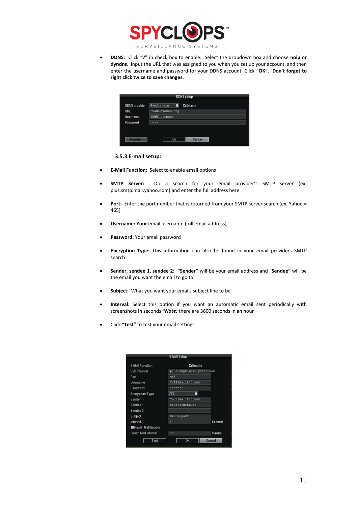

• **DDNS:** Click "√" in check box to enable. Select the dropdown box and choose **noip** or **dyndns**. Input the URL that was assigned to you when you set up your account, and then enter the username and password for your DDNS account. Click **"OK"**. **Don't forget to right click twice to save changes.**

|                      |                     | <b>DDNS</b> setup |
|----------------------|---------------------|-------------------|
| <b>DDNS</b> provider | dyndns.org<br>Ξ     | GEnable           |
| URL                  | test.dyndns.org     |                   |
| Username             | <b>DDNSusername</b> |                   |
| Password             |                     |                   |

#### **3.5.3 E-mail setup:**

- **E-Mail Function:** Select to enable email options
- **SMTP Server:** Do a search for your email provider's SMTP server (ex: plus.smtp.mail.yahoo.com) and enter the full address here
- Port: Enter the port number that is returned from your SMTP server search (ex. Yahoo = 465)
- **Username: Your** email username (full email address)
- **Password:** Your email password
- **Encryption Type:** This information can also be found in your email providers SMTP search
- **Sender, sendee 1, sendee 2: "Sender"** will be your email address and "**Sendee"** will be the email you want the email to go to
- **Subject:** What you want your emails subject line to be
- **Interval:** Select this option if you want an automatic email sent periodically with screenshots in seconds \**Note:* there are 3600 seconds in an hour
- Click "**Test"** to test your email settings

|                             | E-Mail Setup             |        |
|-----------------------------|--------------------------|--------|
| E-Mail Function             | <b>ZiEnable</b>          |        |
| <b>SMTP Server</b>          | plus.smpt.mail.yahoo.com |        |
| Port                        | 465                      |        |
| Username                    | fullEmailAddress         |        |
| Password                    | *******                  |        |
| <b>Encryption Type</b>      | SSL<br>ы                 |        |
| Sender                      | YourEmailAddress         |        |
| Sendee 1                    | RecipientEmail           |        |
| Sendee 2                    |                          |        |
| Subject                     | DVR.<br>Report           |        |
| Interval                    | 5                        | Second |
| <b>E Health Mail Enable</b> |                          |        |
| Health Mail Interval        | 30                       | Minute |
| Test                        | Ok                       | Cancel |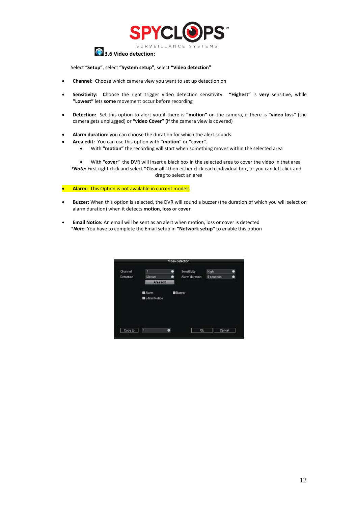

## **3.6 Video detection:**

Select "**Setup"**, select **"System setup"**, select **"Video detection"**

- **Channel:** Choose which camera view you want to set up detection on
- **Sensitivity: C**hoose the right trigger video detection sensitivity. **"Highest"** is **very** sensitive, while **"Lowest"** lets **some** movement occur before recording
- **Detection:** Set this option to alert you if there is **"motion"** on the camera, if there is **"video loss"** (the camera gets unplugged) or **"video Cover" (**if the camera view is covered)
- **Alarm duration:** you can choose the duration for which the alert sounds
- **Area edit:** You can use this option with **"motion"** or **"cover"**.
	- With **"motion"** the recording will start when something moves within the selected area

• With **"cover"** the DVR will insert a black box in the selected area to cover the video in that area  *\*Note:* First right click and select **"Clear all"** then either click each individual box, or you can left click and drag to select an area

• **Alarm:** This Option is not available in current models

- **Buzzer:** When this option is selected, the DVR will sound a buzzer (the duration of which you will select on alarm duration) when it detects **motion**, **loss** or **cover**
- **Email Notice:** An email will be sent as an alert when motion, loss or cover is detected \**Note*: You have to complete the Email setup in **"Network setup"** to enable this option

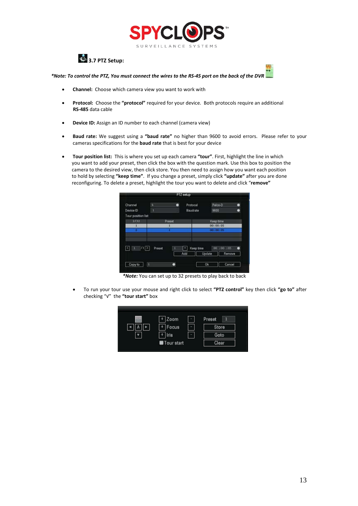



*\*Note: To control the PTZ, You must connect the wires to the RS-45 port on the back of the DVR* 



- **Channel:** Choose which camera view you want to work with
- **Protocol:** Choose the **"protocol"** required for your device. Both protocols require an additional  **RS-485** data cable
- **Device ID:** Assign an ID number to each channel (camera view)
- **Baud rate:** We suggest using a **"baud rate"** no higher than 9600 to avoid errors. Please refer to your cameras specifications for the **baud rate** that is best for your device
- **Tour position list:** This is where you set up each camera **"tour"**. First, highlight the line in which you want to add your preset, then click the box with the question mark. Use this box to position the camera to the desired view, then click store. You then need to assign how you want each position to hold by selecting **"keep time"**. If you change a preset, simply click **"update"** after you are done reconfiguring. To delete a preset, highlight the tour you want to delete and click "**remove"**



*\*Note:* You can set up to 32 presets to play back to back

• To run your tour use your mouse and right click to select **"PTZ control"** key then click **"go to"** after checking "√" the **"tour start"** box

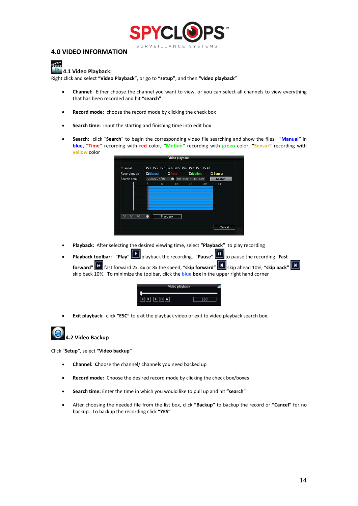

### **4.0 VIDEO INFORMATION**

## **4.1 Video Playback:**

Right click and select **"Video Playback"**, or go to **"setup"**, and then **"video playback"**

- **Channel:** Either choose the channel you want to view, or you can select all channels to view everything that has been recorded and hit **"search"**
- **Record mode:** choose the record mode by clicking the check box
- **Search time:** input the starting and finishing time into edit box
- **Search:** click "**Search**" to begin the corresponding video file searching and show the files. "**Manual"** in **blue, "Time"** recording with **red** color, **"Motion"** recording with **green** color, **"Sensor"** recording with **yellow** color

| Record mode<br>Search time | <b>Manual</b> | <b>D</b><br>2003/07/01 | ⋒  | <b>CriMotion</b><br>$00:00 - 23:59$ |    | <b>G</b> Sensor<br>Search |
|----------------------------|---------------|------------------------|----|-------------------------------------|----|---------------------------|
|                            | 4             | 8                      | 12 | 16                                  | 20 | 24                        |
| 00:00:00                   | ◉             | Playback               |    |                                     |    |                           |

- **Playback:** After selecting the desired viewing time, select **"Playback"** to play recording
- **Playback toolbar:** "**Play"** playback the recording. "**Pause"** to pause the recording "**Fast forward" h** fast forward 2x, 4x or 8x the speed, "skip forward" **A** skip ahead 10%, "skip back" **A** skip back 10%. To minimize the toolbar, click the **blue box** in the upper right hand corner

| eo nlavback. |  |
|--------------|--|
|              |  |
|              |  |

• **Exit playback**: click **"ESC"** to exit the playback video or exit to video playback search box.



### **4.2 Video Backup**

Click "**Setup"**, select **"Video backup"**

- **Channel: C**hoose the channel/ channels you need backed up
- **Record mode:** Choose the desired record mode by clicking the check box/boxes
- **Search time:** Enter the time in which you would like to pull up and hit **"search"**
- After choosing the needed file from the list box, click **"Backup"** to backup the record or **"Cancel"** for no backup. To backup the recording click **"YES"**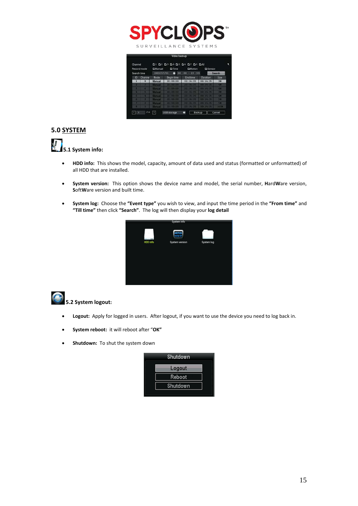

| Search time | Record mode | Gildanual<br>2003/07/01 | <b>Ci</b> Time<br>00 | <b>C</b> eliletion<br>$23 - 159$<br>.00 | <b>CaSensor</b> | Search      |
|-------------|-------------|-------------------------|----------------------|-----------------------------------------|-----------------|-------------|
| ID          | Channel     | Mode                    | <b>Begin time</b>    | End time                                | Duration        | Size        |
| 1           | B           | Manual                  | 22:00:00             | 22:14:35                                | 00:14:35        | ЭМ          |
| ×           | л           | <b>Manual</b>           | 22:00:00             | $22.14 - 25$                            | $00 - 14 - 35$  | 49          |
|             | n           | Manual                  | 27:00:00             | F2314:35                                | 00-14/35        | <b>74M</b>  |
| w           | s           | Manuel                  | 23:00:00             | 22.14.35                                | 00114135        | ßП          |
| G           |             | Manual                  | 22:00:00             | $22.14 - 35$                            | 00:14:35        | <b>AN</b>   |
| F           |             | Manual                  | $22 - 00 - 00$       | 72:14:35                                | 00:14:35        | <b>5N</b>   |
| ۰           | z           | Manual                  | 22:00:00             | 22114:35                                | 00:14:35        | 51          |
| я           | ٠           | Manual                  | 22:00:00             | 22:14:35                                | 00:14:35        | <b>163N</b> |

## **5.0 SYSTEM**

**5.1 System info:**

- **HDD info:** This shows the model, capacity, amount of data used and status (formatted or unformatted) of all HDD that are installed.
- **System version:** This option shows the device name and model, the serial number, **H**ard**W**are version, **S**oft**W**are version and built time.
- **System log:** Choose the **"Event type"** you wish to view, and input the time period in the **"From time"** and **"Till time"** then click **"Search"**. The log will then display your **log detail**





## **5.2 System logout:**

- **Logout:** Apply for logged in users. After logout, if you want to use the device you need to log back in.
- **System reboot:** it will reboot after "**OK"**
- **Shutdown:** To shut the system down

| Shutdown |  |
|----------|--|
| Logout   |  |
| Reboot   |  |
| Shutdown |  |
|          |  |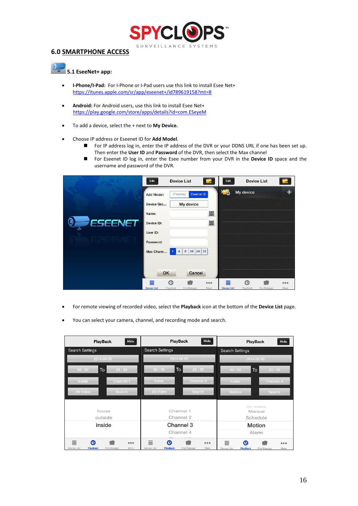

## **6.0 SMARTPHONE ACCESS**

## **5.1 EseeNet+ app:**

- **I-Phone/I-Pad:** For I-Phone or I-Pad users use this link to install Esee Net+ <https://itunes.apple.com/sr/app/eseenet+/id789619158?mt=8>
- **Android:** For Android users, use this link to install Esee Net+ <https://play.google.com/store/apps/details?id=com.ESeyeM>
- To add a device, select the + next to **My Device.**
- Choose IP address or Eseenet ID for **Add Model**.
	- For IP address log in, enter the IP address of the DVR or your DDNS URL if one has been set up. Then enter the **User ID** and **Password** of the DVR, then select the Max channel
	- For Eseenet ID log in, enter the Esee number from your DVR in the **Device ID** space and the username and password of the DVR.

|         | Edit                    |                | <b>Device List</b>        | $\bullet$   | Edit                    |               | <b>Device List</b> |             |
|---------|-------------------------|----------------|---------------------------|-------------|-------------------------|---------------|--------------------|-------------|
|         | Add Model:              | IP Adress      | Eseenet ID                |             | 20                      | My device     |                    |             |
|         | Device Gro              |                | My device                 |             |                         |               |                    |             |
|         | Name:                   |                |                           | 瀛           |                         |               |                    |             |
| ESEENET | Device ID:              |                |                           | 翻           |                         |               |                    |             |
|         | User ID:                |                |                           |             |                         |               |                    |             |
|         | Password:               |                |                           |             |                         |               |                    |             |
|         | Max Chann               | $\overline{4}$ | 16 24<br>$\boldsymbol{8}$ | 32          |                         |               |                    |             |
|         |                         |                |                           |             |                         |               |                    |             |
|         | OK                      |                | Cancel                    |             |                         |               |                    |             |
|         | ≣<br><b>Device List</b> | ര<br>PlayBack  | File Manage               | 000<br>More | ≣<br><b>Device List</b> | ര<br>PlayBack | File Manage        | 000<br>More |

- For remote viewing of recorded video, select the **Playback** icon at the bottom of the **Device List** page.
- You can select your camera, channel, and recording mode and search.

| PlayBack                                        | Hide                         | Hide<br>PlayBack                                             |                        |               |                                                              | Hide<br><b>PlayBack</b>     |  |
|-------------------------------------------------|------------------------------|--------------------------------------------------------------|------------------------|---------------|--------------------------------------------------------------|-----------------------------|--|
| <b>Search Settings</b>                          |                              | <b>Search Settings</b>                                       |                        |               | <b>Search Settings</b>                                       |                             |  |
| 2014-08-05                                      |                              |                                                              | 2014-08-05             |               | 2014-08-05                                                   |                             |  |
| To<br>00:00                                     | 23:59                        | 00:00                                                        | To                     | 23:59         | 00:02                                                        | To<br>23:59                 |  |
| inside                                          | Channel 1                    | home                                                         |                        | Channel 3     | home.                                                        | Channel 3                   |  |
| All Video                                       | Search                       | All Video                                                    |                        | Search        | Motion                                                       | Search                      |  |
| house                                           |                              |                                                              | Channel 1<br>Channel 2 |               |                                                              | All Video<br>Manual         |  |
| outside<br>inside                               |                              | Channel 3<br>Channel 4                                       |                        |               | Schedule<br>Motion<br>Alarm                                  |                             |  |
|                                                 |                              |                                                              |                        |               |                                                              |                             |  |
| $\equiv$<br>◑<br>Device List<br><b>PlayBack</b> | 0.0.0<br>File Manage<br>More | 亖<br>$\boldsymbol{\omega}$<br>Device List<br><b>PlayBack</b> | File Manage            | 0.0.0<br>More | ≣<br>$\boldsymbol{\Omega}$<br>Device List<br><b>PlayBack</b> | 0000<br>File Manage<br>More |  |